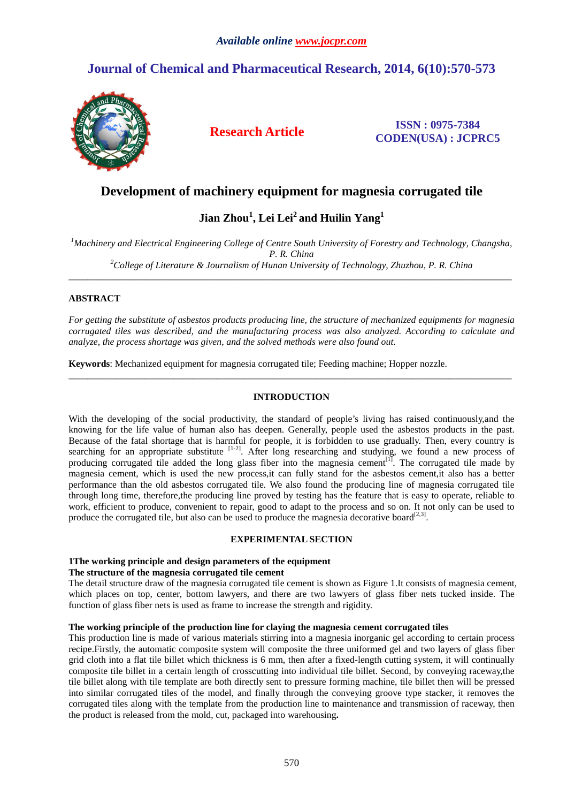# **Journal of Chemical and Pharmaceutical Research, 2014, 6(10):570-573**



### **Research Article ISSN : 0975-7384 CODEN(USA) : JCPRC5**

## **Development of machinery equipment for magnesia corrugated tile**

# **Jian Zhou<sup>1</sup> , Lei Lei<sup>2</sup>and Huilin Yang<sup>1</sup>**

*<sup>1</sup>Machinery and Electrical Engineering College of Centre South University of Forestry and Technology, Changsha, P. R. China <sup>2</sup>College of Literature & Journalism of Hunan University of Technology, Zhuzhou, P. R. China* 

\_\_\_\_\_\_\_\_\_\_\_\_\_\_\_\_\_\_\_\_\_\_\_\_\_\_\_\_\_\_\_\_\_\_\_\_\_\_\_\_\_\_\_\_\_\_\_\_\_\_\_\_\_\_\_\_\_\_\_\_\_\_\_\_\_\_\_\_\_\_\_\_\_\_\_\_\_\_\_\_\_\_\_\_\_\_\_\_\_\_\_\_\_

#### **ABSTRACT**

*For getting the substitute of asbestos products producing line, the structure of mechanized equipments for magnesia corrugated tiles was described, and the manufacturing process was also analyzed. According to calculate and analyze, the process shortage was given, and the solved methods were also found out.* 

**Keywords**: Mechanized equipment for magnesia corrugated tile; Feeding machine; Hopper nozzle.

#### **INTRODUCTION**

 $\overline{a}$  , and the contribution of the contribution of the contribution of the contribution of the contribution of the contribution of the contribution of the contribution of the contribution of the contribution of the co

With the developing of the social productivity, the standard of people's living has raised continuously,and the knowing for the life value of human also has deepen. Generally, people used the asbestos products in the past. Because of the fatal shortage that is harmful for people, it is forbidden to use gradually. Then, every country is searching for an appropriate substitute [1-2]. After long researching and studying, we found a new process of producing corrugated tile added the long glass fiber into the magnesia cement $[1]$ . The corrugated tile made by magnesia cement, which is used the new process,it can fully stand for the asbestos cement,it also has a better performance than the old asbestos corrugated tile. We also found the producing line of magnesia corrugated tile through long time, therefore,the producing line proved by testing has the feature that is easy to operate, reliable to work, efficient to produce, convenient to repair, good to adapt to the process and so on. It not only can be used to produce the corrugated tile, but also can be used to produce the magnesia decorative board<sup>[2,3]</sup>.

#### **EXPERIMENTAL SECTION**

#### **1The working principle and design parameters of the equipment**

#### **The structure of the magnesia corrugated tile cement**

The detail structure draw of the magnesia corrugated tile cement is shown as Figure 1.It consists of magnesia cement, which places on top, center, bottom lawyers, and there are two lawyers of glass fiber nets tucked inside. The function of glass fiber nets is used as frame to increase the strength and rigidity.

#### **The working principle of the production line for claying the magnesia cement corrugated tiles**

This production line is made of various materials stirring into a magnesia inorganic gel according to certain process recipe.Firstly, the automatic composite system will composite the three uniformed gel and two layers of glass fiber grid cloth into a flat tile billet which thickness is 6 mm, then after a fixed-length cutting system, it will continually composite tile billet in a certain length of crosscutting into individual tile billet. Second, by conveying raceway,the tile billet along with tile template are both directly sent to pressure forming machine, tile billet then will be pressed into similar corrugated tiles of the model, and finally through the conveying groove type stacker, it removes the corrugated tiles along with the template from the production line to maintenance and transmission of raceway, then the product is released from the mold, cut, packaged into warehousing**.**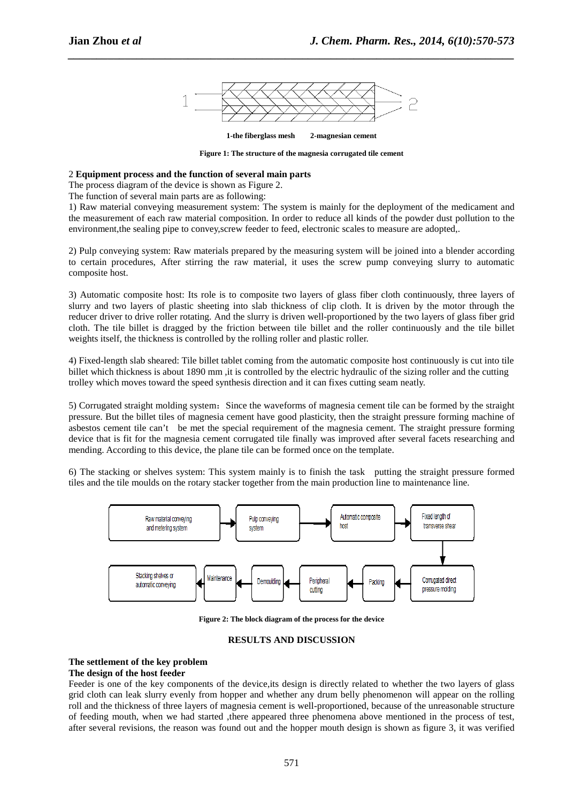

*\_\_\_\_\_\_\_\_\_\_\_\_\_\_\_\_\_\_\_\_\_\_\_\_\_\_\_\_\_\_\_\_\_\_\_\_\_\_\_\_\_\_\_\_\_\_\_\_\_\_\_\_\_\_\_\_\_\_\_\_\_\_\_\_\_\_\_\_\_\_\_\_\_\_\_\_\_\_*

**1-the fiberglass mesh 2-magnesian cement** 

**Figure 1: The structure of the magnesia corrugated tile cement** 

#### 2 **Equipment process and the function of several main parts**

The process diagram of the device is shown as Figure 2.

The function of several main parts are as following:

1) Raw material conveying measurement system: The system is mainly for the deployment of the medicament and the measurement of each raw material composition. In order to reduce all kinds of the powder dust pollution to the environment,the sealing pipe to convey,screw feeder to feed, electronic scales to measure are adopted,.

2) Pulp conveying system: Raw materials prepared by the measuring system will be joined into a blender according to certain procedures, After stirring the raw material, it uses the screw pump conveying slurry to automatic composite host.

3) Automatic composite host: Its role is to composite two layers of glass fiber cloth continuously, three layers of slurry and two layers of plastic sheeting into slab thickness of clip cloth. It is driven by the motor through the reducer driver to drive roller rotating. And the slurry is driven well-proportioned by the two layers of glass fiber grid cloth. The tile billet is dragged by the friction between tile billet and the roller continuously and the tile billet weights itself, the thickness is controlled by the rolling roller and plastic roller.

4) Fixed-length slab sheared: Tile billet tablet coming from the automatic composite host continuously is cut into tile billet which thickness is about 1890 mm , it is controlled by the electric hydraulic of the sizing roller and the cutting trolley which moves toward the speed synthesis direction and it can fixes cutting seam neatly.

5) Corrugated straight molding system:Since the waveforms of magnesia cement tile can be formed by the straight pressure. But the billet tiles of magnesia cement have good plasticity, then the straight pressure forming machine of asbestos cement tile can't be met the special requirement of the magnesia cement. The straight pressure forming device that is fit for the magnesia cement corrugated tile finally was improved after several facets researching and mending. According to this device, the plane tile can be formed once on the template.

6) The stacking or shelves system: This system mainly is to finish the task putting the straight pressure formed tiles and the tile moulds on the rotary stacker together from the main production line to maintenance line.



**Figure 2: The block diagram of the process for the device** 

#### **RESULTS AND DISCUSSION**

#### **The settlement of the key problem**

#### **The design of the host feeder**

Feeder is one of the key components of the device,its design is directly related to whether the two layers of glass grid cloth can leak slurry evenly from hopper and whether any drum belly phenomenon will appear on the rolling roll and the thickness of three layers of magnesia cement is well-proportioned, because of the unreasonable structure of feeding mouth, when we had started ,there appeared three phenomena above mentioned in the process of test, after several revisions, the reason was found out and the hopper mouth design is shown as figure 3, it was verified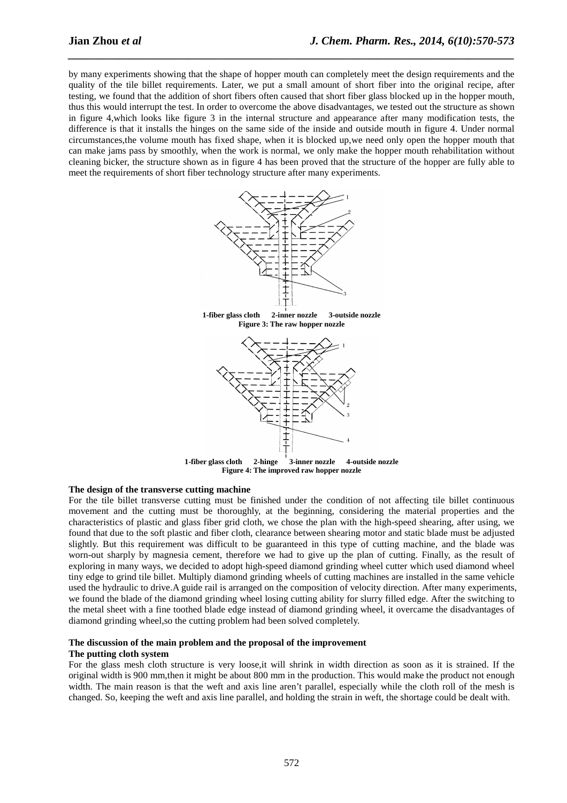by many experiments showing that the shape of hopper mouth can completely meet the design requirements and the quality of the tile billet requirements. Later, we put a small amount of short fiber into the original recipe, after testing, we found that the addition of short fibers often caused that short fiber glass blocked up in the hopper mouth, thus this would interrupt the test. In order to overcome the above disadvantages, we tested out the structure as shown in figure 4,which looks like figure 3 in the internal structure and appearance after many modification tests, the difference is that it installs the hinges on the same side of the inside and outside mouth in figure 4. Under normal circumstances,the volume mouth has fixed shape, when it is blocked up,we need only open the hopper mouth that can make jams pass by smoothly, when the work is normal, we only make the hopper mouth rehabilitation without cleaning bicker, the structure shown as in figure 4 has been proved that the structure of the hopper are fully able to meet the requirements of short fiber technology structure after many experiments.

*\_\_\_\_\_\_\_\_\_\_\_\_\_\_\_\_\_\_\_\_\_\_\_\_\_\_\_\_\_\_\_\_\_\_\_\_\_\_\_\_\_\_\_\_\_\_\_\_\_\_\_\_\_\_\_\_\_\_\_\_\_\_\_\_\_\_\_\_\_\_\_\_\_\_\_\_\_\_*



**1-fiber glass cloth 2-inner nozzle 3-outside nozzle Figure 3: The raw hopper nozzle** 



#### **The design of the transverse cutting machine**

For the tile billet transverse cutting must be finished under the condition of not affecting tile billet continuous movement and the cutting must be thoroughly, at the beginning, considering the material properties and the characteristics of plastic and glass fiber grid cloth, we chose the plan with the high-speed shearing, after using, we found that due to the soft plastic and fiber cloth, clearance between shearing motor and static blade must be adjusted slightly. But this requirement was difficult to be guaranteed in this type of cutting machine, and the blade was worn-out sharply by magnesia cement, therefore we had to give up the plan of cutting. Finally, as the result of exploring in many ways, we decided to adopt high-speed diamond grinding wheel cutter which used diamond wheel tiny edge to grind tile billet. Multiply diamond grinding wheels of cutting machines are installed in the same vehicle used the hydraulic to drive.A guide rail is arranged on the composition of velocity direction. After many experiments, we found the blade of the diamond grinding wheel losing cutting ability for slurry filled edge. After the switching to the metal sheet with a fine toothed blade edge instead of diamond grinding wheel, it overcame the disadvantages of diamond grinding wheel,so the cutting problem had been solved completely.

#### **The discussion of the main problem and the proposal of the improvement The putting cloth system**

For the glass mesh cloth structure is very loose,it will shrink in width direction as soon as it is strained. If the original width is 900 mm,then it might be about 800 mm in the production. This would make the product not enough width. The main reason is that the weft and axis line aren't parallel, especially while the cloth roll of the mesh is changed. So, keeping the weft and axis line parallel, and holding the strain in weft, the shortage could be dealt with.